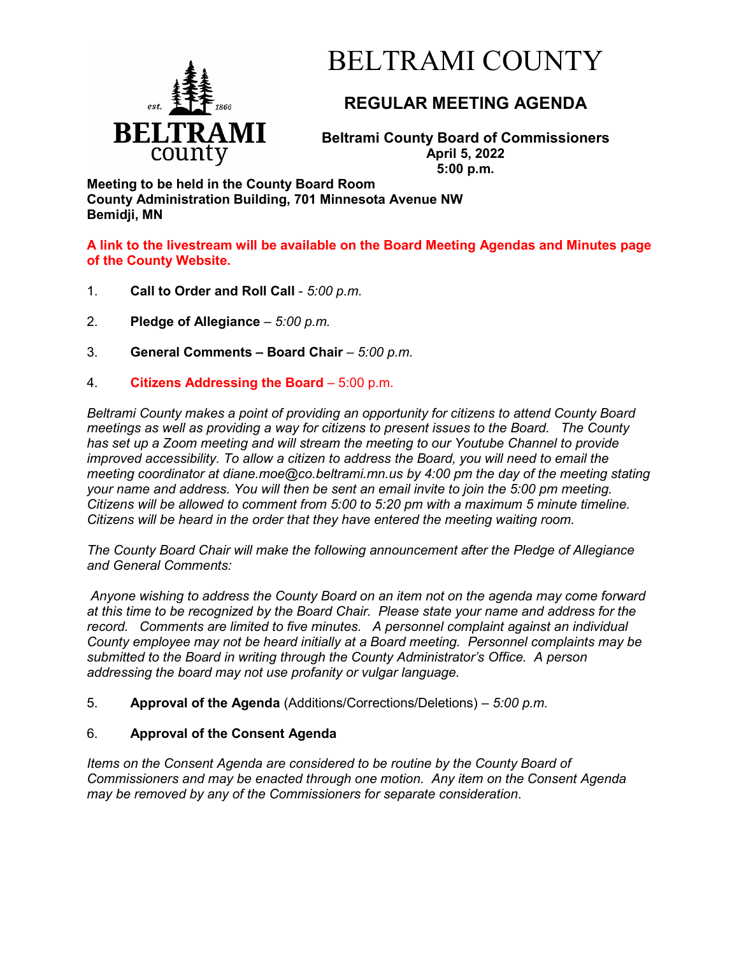

# BELTRAMI COUNTY

## **REGULAR MEETING AGENDA**

**Beltrami County Board of Commissioners April 5, 2022 5:00 p.m.**

**Meeting to be held in the County Board Room County Administration Building, 701 Minnesota Avenue NW Bemidji, MN**

**A link to the livestream will be available on the Board Meeting Agendas and Minutes page of the County Website.**

- 1. **Call to Order and Roll Call** *5:00 p.m.*
- 2. **Pledge of Allegiance**  *5:00 p.m.*
- 3. **General Comments – Board Chair** *5:00 p.m.*
- 4. **Citizens Addressing the Board**  5:00 p.m.

*Beltrami County makes a point of providing an opportunity for citizens to attend County Board meetings as well as providing a way for citizens to present issues to the Board. The County has set up a Zoom meeting and will stream the meeting to our Youtube Channel to provide improved accessibility. To allow a citizen to address the Board, you will need to email the meeting coordinator at diane.moe@co.beltrami.mn.us by 4:00 pm the day of the meeting stating your name and address. You will then be sent an email invite to join the 5:00 pm meeting. Citizens will be allowed to comment from 5:00 to 5:20 pm with a maximum 5 minute timeline. Citizens will be heard in the order that they have entered the meeting waiting room.* 

*The County Board Chair will make the following announcement after the Pledge of Allegiance and General Comments:*

*Anyone wishing to address the County Board on an item not on the agenda may come forward at this time to be recognized by the Board Chair. Please state your name and address for the record. Comments are limited to five minutes. A personnel complaint against an individual County employee may not be heard initially at a Board meeting. Personnel complaints may be submitted to the Board in writing through the County Administrator's Office. A person addressing the board may not use profanity or vulgar language.*

5. **Approval of the Agenda** (Additions/Corrections/Deletions) – *5:00 p.m.*

### 6. **Approval of the Consent Agenda**

*Items on the Consent Agenda are considered to be routine by the County Board of Commissioners and may be enacted through one motion. Any item on the Consent Agenda may be removed by any of the Commissioners for separate consideration*.